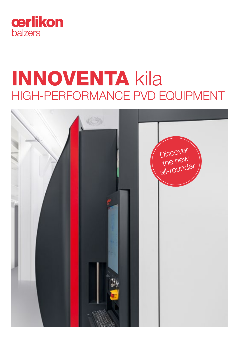

# INNOVENTA kila HIGH-PERFORMANCE PVD EQUIPMENT

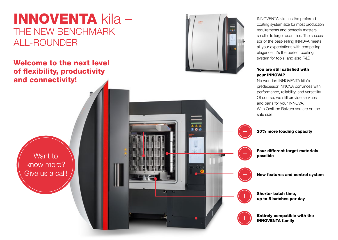